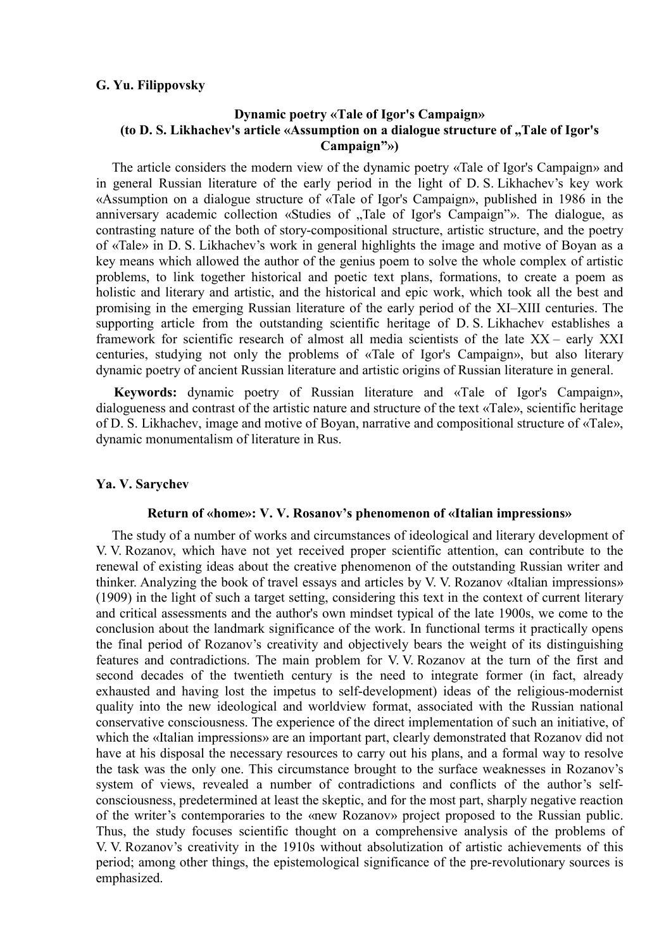## **G. Yu. Filippovsky**

# **Dynamic poetry «Tale of Igor's Campaign»**  (to D. S. Likhachev's article «Assumption on a dialogue structure of "Tale of Igor's **Campaign"»)**

The article considers the modern view of the dynamic poetry «Tale of Igor's Campaign» and in general Russian literature of the early period in the light of D. S. Likhachev's key work «Assumption on a dialogue structure of «Tale of Igor's Campaign», published in 1986 in the anniversary academic collection «Studies of "Tale of Igor's Campaign"». The dialogue, as contrasting nature of the both of story-compositional structure, artistic structure, and the poetry of «Tale» in D. S. Likhachev's work in general highlights the image and motive of Boyan as a key means which allowed the author of the genius poem to solve the whole complex of artistic problems, to link together historical and poetic text plans, formations, to create a poem as holistic and literary and artistic, and the historical and epic work, which took all the best and promising in the emerging Russian literature of the early period of the XI–XIII centuries. The supporting article from the outstanding scientific heritage of D. S. Likhachev establishes a framework for scientific research of almost all media scientists of the late XX – early XXI centuries, studying not only the problems of «Tale of Igor's Campaign», but also literary dynamic poetry of ancient Russian literature and artistic origins of Russian literature in general.

**Keywords:** dynamic poetry of Russian literature and «Tale of Igor's Campaign», dialogueness and contrast of the artistic nature and structure of the text «Tale», scientific heritage of D. S. Likhachev, image and motive of Boyan, narrative and compositional structure of «Tale», dynamic monumentalism of literature in Rus.

# **Ya. V. Sarychev**

## **Return of «home»: V. V. Rosanov's phenomenon of «Italian impressions»**

The study of a number of works and circumstances of ideological and literary development of V. V. Rozanov, which have not yet received proper scientific attention, can contribute to the renewal of existing ideas about the creative phenomenon of the outstanding Russian writer and thinker. Analyzing the book of travel essays and articles by V. V. Rozanov «Italian impressions» (1909) in the light of such a target setting, considering this text in the context of current literary and critical assessments and the author's own mindset typical of the late 1900s, we come to the conclusion about the landmark significance of the work. In functional terms it practically opens the final period of Rozanov's creativity and objectively bears the weight of its distinguishing features and contradictions. The main problem for V. V. Rozanov at the turn of the first and second decades of the twentieth century is the need to integrate former (in fact, already exhausted and having lost the impetus to self-development) ideas of the religious-modernist quality into the new ideological and worldview format, associated with the Russian national conservative consciousness. The experience of the direct implementation of such an initiative, of which the «Italian impressions» are an important part, clearly demonstrated that Rozanov did not have at his disposal the necessary resources to carry out his plans, and a formal way to resolve the task was the only one. This circumstance brought to the surface weaknesses in Rozanov's system of views, revealed a number of contradictions and conflicts of the author's selfconsciousness, predetermined at least the skeptic, and for the most part, sharply negative reaction of the writer's contemporaries to the «new Rozanov» project proposed to the Russian public. Thus, the study focuses scientific thought on a comprehensive analysis of the problems of V. V. Rozanov's creativity in the 1910s without absolutization of artistic achievements of this period; among other things, the epistemological significance of the pre-revolutionary sources is emphasized.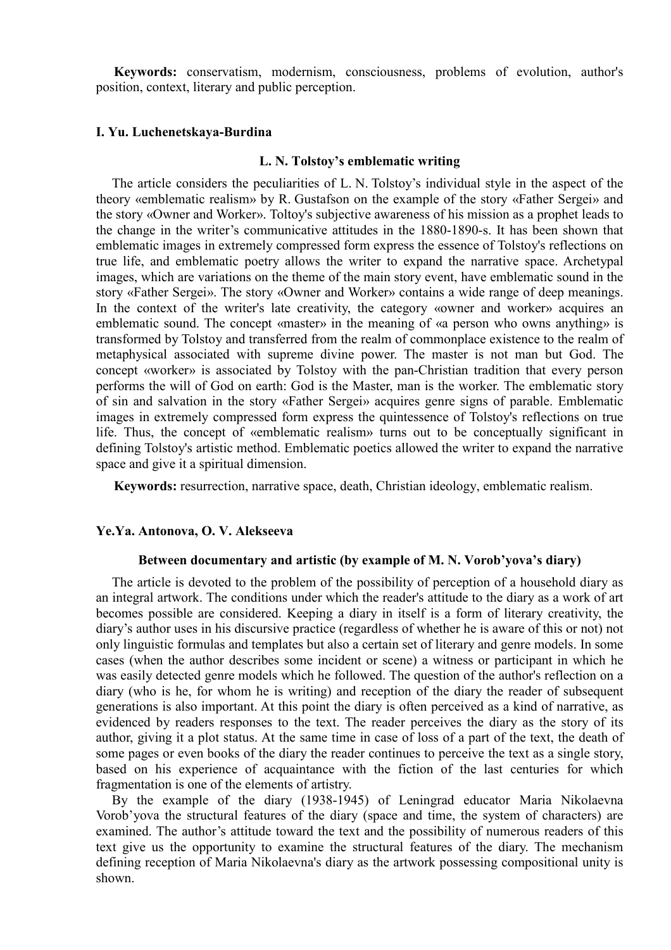**Keywords:** conservatism, modernism, consciousness, problems of evolution, author's position, context, literary and public perception.

## **I. Yu. Luchenetskaya-Burdina**

## **L. N. Tolstoy's emblematic writing**

The article considers the peculiarities of L. N. Tolstoy's individual style in the aspect of the theory «emblematic realism» by R. Gustafson on the example of the story «Father Sergei» and the story «Owner and Worker». Toltoy's subjective awareness of his mission as a prophet leads to the change in the writer's communicative attitudes in the 1880-1890-s. It has been shown that emblematic images in extremely compressed form express the essence of Tolstoy's reflections on true life, and emblematic poetry allows the writer to expand the narrative space. Archetypal images, which are variations on the theme of the main story event, have emblematic sound in the story «Father Sergei». The story «Owner and Worker» contains a wide range of deep meanings. In the context of the writer's late creativity, the category «owner and worker» acquires an emblematic sound. The concept «master» in the meaning of «a person who owns anything» is transformed by Tolstoy and transferred from the realm of commonplace existence to the realm of metaphysical associated with supreme divine power. The master is not man but God. The concept «worker» is associated by Tolstoy with the pan-Christian tradition that every person performs the will of God on earth: God is the Master, man is the worker. The emblematic story of sin and salvation in the story «Father Sergei» acquires genre signs of parable. Emblematic images in extremely compressed form express the quintessence of Tolstoy's reflections on true life. Thus, the concept of «emblematic realism» turns out to be conceptually significant in defining Tolstoy's artistic method. Emblematic poetics allowed the writer to expand the narrative space and give it a spiritual dimension.

**Keywords:** resurrection, narrative space, death, Christian ideology, emblematic realism.

## **Ye.Ya. Antonova, O. V. Alekseeva**

#### **Between documentary and artistic (by example of M. N. Vorob'yova's diary)**

The article is devoted to the problem of the possibility of perception of a household diary as an integral artwork. The conditions under which the reader's attitude to the diary as a work of art becomes possible are considered. Keeping a diary in itself is a form of literary creativity, the diary's author uses in his discursive practice (regardless of whether he is aware of this or not) not only linguistic formulas and templates but also a certain set of literary and genre models. In some cases (when the author describes some incident or scene) a witness or participant in which he was easily detected genre models which he followed. The question of the author's reflection on a diary (who is he, for whom he is writing) and reception of the diary the reader of subsequent generations is also important. At this point the diary is often perceived as a kind of narrative, as evidenced by readers responses to the text. The reader perceives the diary as the story of its author, giving it a plot status. At the same time in case of loss of a part of the text, the death of some pages or even books of the diary the reader continues to perceive the text as a single story, based on his experience of acquaintance with the fiction of the last centuries for which fragmentation is one of the elements of artistry.

By the example of the diary (1938-1945) of Leningrad educator Maria Nikolaevna Vorob'yova the structural features of the diary (space and time, the system of characters) are examined. The author's attitude toward the text and the possibility of numerous readers of this text give us the opportunity to examine the structural features of the diary. The mechanism defining reception of Maria Nikolaevna's diary as the artwork possessing compositional unity is shown.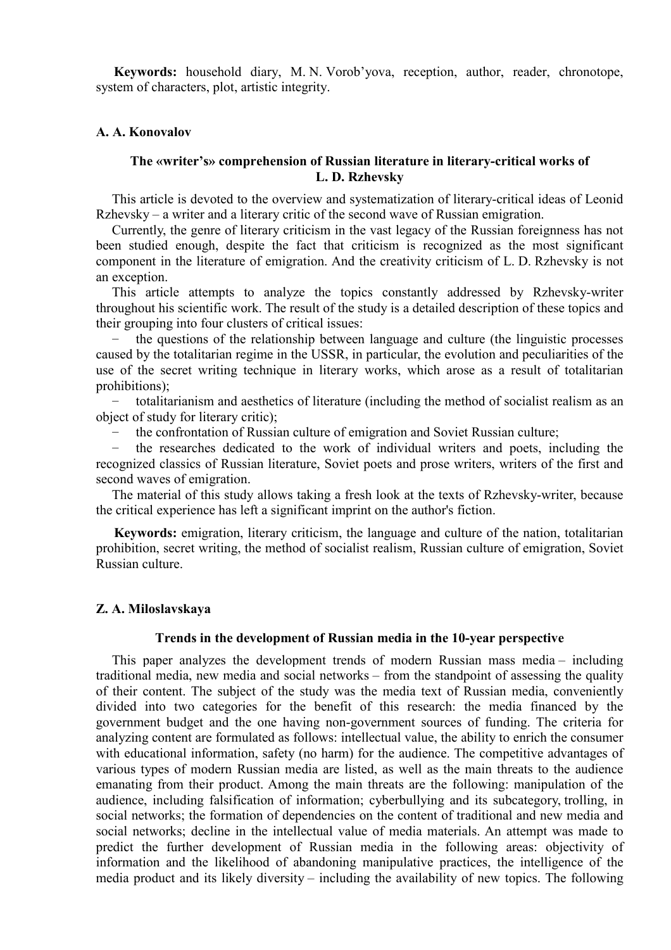**Keywords:** household diary, M. N. Vorob'yova, reception, author, reader, chronotope, system of characters, plot, artistic integrity.

### **A. A. Konovalov**

# **The «writer's» comprehension of Russian literature in literary-critical works of L. D. Rzhevsky**

This article is devoted to the overview and systematization of literary-critical ideas of Leonid Rzhevsky – a writer and a literary critic of the second wave of Russian emigration.

Currently, the genre of literary criticism in the vast legacy of the Russian foreignness has not been studied enough, despite the fact that criticism is recognized as the most significant component in the literature of emigration. And the creativity criticism of L. D. Rzhevsky is not an exception.

This article attempts to analyze the topics constantly addressed by Rzhevsky-writer throughout his scientific work. The result of the study is a detailed description of these topics and their grouping into four clusters of critical issues:

the questions of the relationship between language and culture (the linguistic processes caused by the totalitarian regime in the USSR, in particular, the evolution and peculiarities of the use of the secret writing technique in literary works, which arose as a result of totalitarian prohibitions);

− totalitarianism and aesthetics of literature (including the method of socialist realism as an object of study for literary critic);

the confrontation of Russian culture of emigration and Soviet Russian culture;

the researches dedicated to the work of individual writers and poets, including the recognized classics of Russian literature, Soviet poets and prose writers, writers of the first and second waves of emigration.

The material of this study allows taking a fresh look at the texts of Rzhevsky-writer, because the critical experience has left a significant imprint on the author's fiction.

**Keywords:** emigration, literary criticism, the language and culture of the nation, totalitarian prohibition, secret writing, the method of socialist realism, Russian culture of emigration, Soviet Russian culture.

# **Z. A. Miloslavskaya**

### **Trends in the development of Russian media in the 10-year perspective**

This paper analyzes the development trends of modern Russian mass media – including traditional media, new media and social networks – from the standpoint of assessing the quality of their content. The subject of the study was the media text of Russian media, conveniently divided into two categories for the benefit of this research: the media financed by the government budget and the one having non-government sources of funding. The criteria for analyzing content are formulated as follows: intellectual value, the ability to enrich the consumer with educational information, safety (no harm) for the audience. The competitive advantages of various types of modern Russian media are listed, as well as the main threats to the audience emanating from their product. Among the main threats are the following: manipulation of the audience, including falsification of information; cyberbullying and its subcategory, trolling, in social networks; the formation of dependencies on the content of traditional and new media and social networks; decline in the intellectual value of media materials. An attempt was made to predict the further development of Russian media in the following areas: objectivity of information and the likelihood of abandoning manipulative practices, the intelligence of the media product and its likely diversity – including the availability of new topics. The following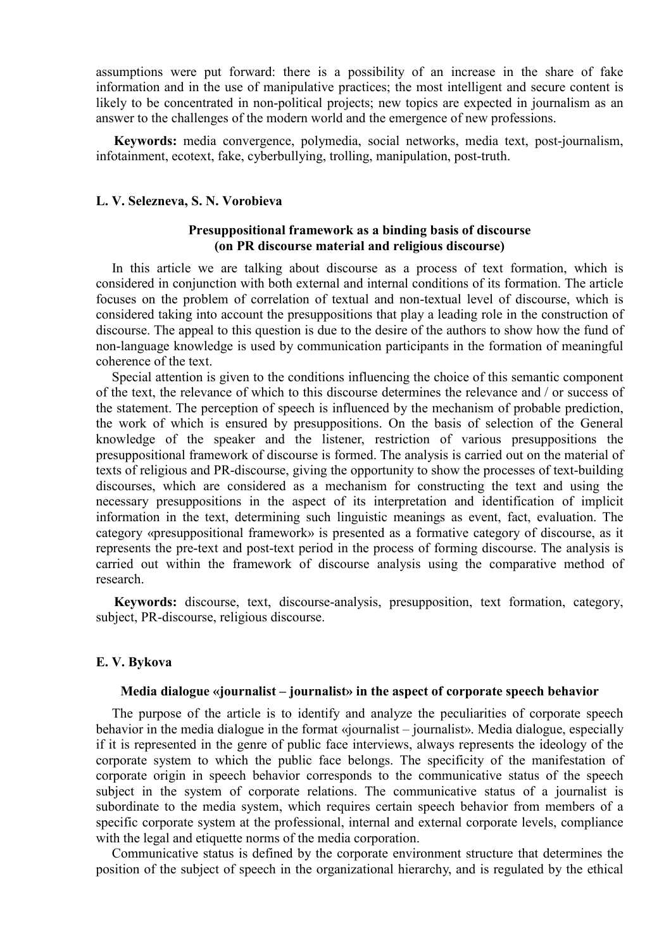assumptions were put forward: there is a possibility of an increase in the share of fake information and in the use of manipulative practices; the most intelligent and secure content is likely to be concentrated in non-political projects; new topics are expected in journalism as an answer to the challenges of the modern world and the emergence of new professions.

**Keywords:** media convergence, polymedia, social networks, media text, post-journalism, infotainment, ecotext, fake, cyberbullying, trolling, manipulation, post-truth.

### **L. V. Selezneva, S. N. Vorobieva**

# **Presuppositional framework as a binding basis of discourse (on PR discourse material and religious discourse)**

In this article we are talking about discourse as a process of text formation, which is considered in conjunction with both external and internal conditions of its formation. The article focuses on the problem of correlation of textual and non-textual level of discourse, which is considered taking into account the presuppositions that play a leading role in the construction of discourse. The appeal to this question is due to the desire of the authors to show how the fund of non-language knowledge is used by communication participants in the formation of meaningful coherence of the text.

Special attention is given to the conditions influencing the choice of this semantic component of the text, the relevance of which to this discourse determines the relevance and / or success of the statement. The perception of speech is influenced by the mechanism of probable prediction, the work of which is ensured by presuppositions. On the basis of selection of the General knowledge of the speaker and the listener, restriction of various presuppositions the presuppositional framework of discourse is formed. The analysis is carried out on the material of texts of religious and PR-discourse, giving the opportunity to show the processes of text-building discourses, which are considered as a mechanism for constructing the text and using the necessary presuppositions in the aspect of its interpretation and identification of implicit information in the text, determining such linguistic meanings as event, fact, evaluation. The category «presuppositional framework» is presented as a formative category of discourse, as it represents the pre-text and post-text period in the process of forming discourse. The analysis is carried out within the framework of discourse analysis using the comparative method of research.

**Keywords:** discourse, text, discourse-analysis, presupposition, text formation, category, subject, PR-discourse, religious discourse.

### **E. V. Bykova**

### **Media dialogue «journalist – journalist» in the aspect of corporate speech behavior**

The purpose of the article is to identify and analyze the peculiarities of corporate speech behavior in the media dialogue in the format «journalist – journalist». Media dialogue, especially if it is represented in the genre of public face interviews, always represents the ideology of the corporate system to which the public face belongs. The specificity of the manifestation of corporate origin in speech behavior corresponds to the communicative status of the speech subject in the system of corporate relations. The communicative status of a journalist is subordinate to the media system, which requires certain speech behavior from members of a specific corporate system at the professional, internal and external corporate levels, compliance with the legal and etiquette norms of the media corporation.

Communicative status is defined by the corporate environment structure that determines the position of the subject of speech in the organizational hierarchy, and is regulated by the ethical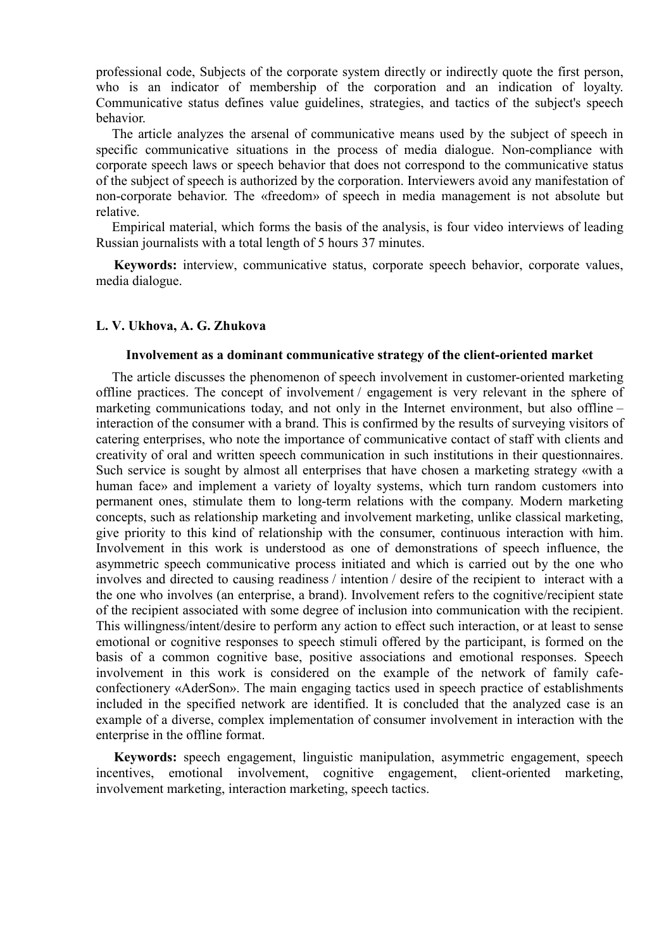professional code, Subjects of the corporate system directly or indirectly quote the first person, who is an indicator of membership of the corporation and an indication of loyalty. Communicative status defines value guidelines, strategies, and tactics of the subject's speech behavior.

The article analyzes the arsenal of communicative means used by the subject of speech in specific communicative situations in the process of media dialogue. Non-compliance with corporate speech laws or speech behavior that does not correspond to the communicative status of the subject of speech is authorized by the corporation. Interviewers avoid any manifestation of non-corporate behavior. The «freedom» of speech in media management is not absolute but relative.

Empirical material, which forms the basis of the analysis, is four video interviews of leading Russian journalists with a total length of 5 hours 37 minutes.

**Keywords:** interview, communicative status, corporate speech behavior, corporate values, media dialogue.

# **L. V. Ukhova, A. G. Zhukova**

#### **Involvement as a dominant communicative strategy of the client-oriented market**

The article discusses the phenomenon of speech involvement in customer-oriented marketing offline practices. The concept of involvement / engagement is very relevant in the sphere of marketing communications today, and not only in the Internet environment, but also offline – interaction of the consumer with a brand. This is confirmed by the results of surveying visitors of catering enterprises, who note the importance of communicative contact of staff with clients and creativity of oral and written speech communication in such institutions in their questionnaires. Such service is sought by almost all enterprises that have chosen a marketing strategy «with a human face» and implement a variety of loyalty systems, which turn random customers into permanent ones, stimulate them to long-term relations with the company. Modern marketing concepts, such as relationship marketing and involvement marketing, unlike classical marketing, give priority to this kind of relationship with the consumer, continuous interaction with him. Involvement in this work is understood as one of demonstrations of speech influence, the asymmetric speech communicative process initiated and which is carried out by the one who involves and directed to causing readiness / intention / desire of the recipient to interact with a the one who involves (an enterprise, a brand). Involvement refers to the cognitive/recipient state of the recipient associated with some degree of inclusion into communication with the recipient. This willingness/intent/desire to perform any action to effect such interaction, or at least to sense emotional or cognitive responses to speech stimuli offered by the participant, is formed on the basis of a common cognitive base, positive associations and emotional responses. Speech involvement in this work is considered on the example of the network of family cafeconfectionery «AderSon». The main engaging tactics used in speech practice of establishments included in the specified network are identified. It is concluded that the analyzed case is an example of a diverse, complex implementation of consumer involvement in interaction with the enterprise in the offline format.

**Keywords:** speech engagement, linguistic manipulation, asymmetric engagement, speech incentives, emotional involvement, cognitive engagement, client-oriented marketing, involvement marketing, interaction marketing, speech tactics.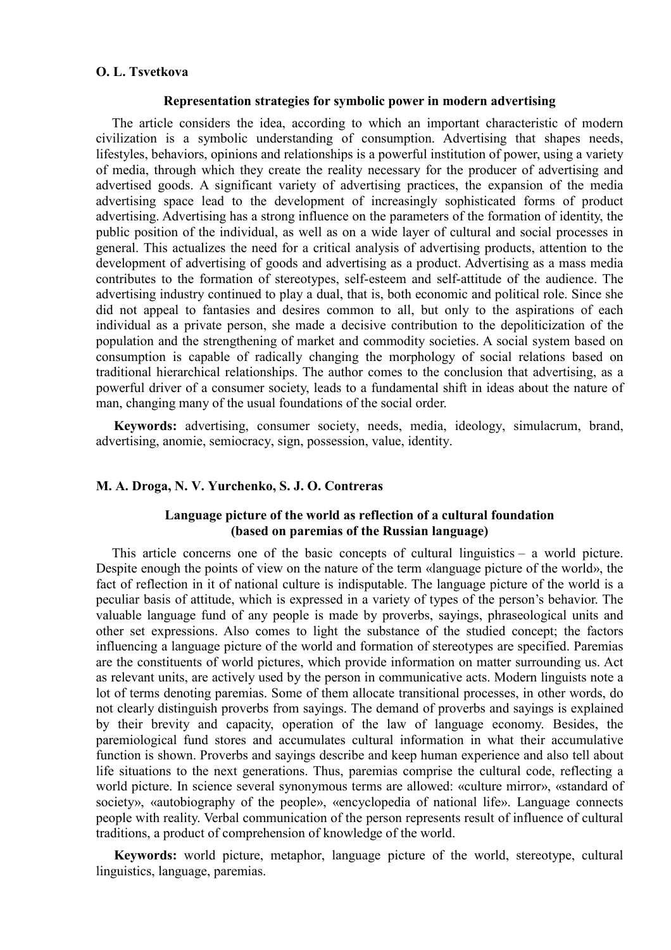# **O. L. Tsvetkova**

### **Representation strategies for symbolic power in modern advertising**

The article considers the idea, according to which an important characteristic of modern civilization is a symbolic understanding of consumption. Advertising that shapes needs, lifestyles, behaviors, opinions and relationships is a powerful institution of power, using a variety of media, through which they create the reality necessary for the producer of advertising and advertised goods. A significant variety of advertising practices, the expansion of the media advertising space lead to the development of increasingly sophisticated forms of product advertising. Advertising has a strong influence on the parameters of the formation of identity, the public position of the individual, as well as on a wide layer of cultural and social processes in general. This actualizes the need for a critical analysis of advertising products, attention to the development of advertising of goods and advertising as a product. Advertising as a mass media contributes to the formation of stereotypes, self-esteem and self-attitude of the audience. The advertising industry continued to play a dual, that is, both economic and political role. Since she did not appeal to fantasies and desires common to all, but only to the aspirations of each individual as a private person, she made a decisive contribution to the depoliticization of the population and the strengthening of market and commodity societies. A social system based on consumption is capable of radically changing the morphology of social relations based on traditional hierarchical relationships. The author comes to the conclusion that advertising, as a powerful driver of a consumer society, leads to a fundamental shift in ideas about the nature of man, changing many of the usual foundations of the social order.

**Keywords:** advertising, consumer society, needs, media, ideology, simulacrum, brand, advertising, anomie, semiocracy, sign, possession, value, identity.

# **M. A. Droga, N. V. Yurchenko, S. J. O. Contreras**

# **Language picture of the world as reflection of a cultural foundation (based on paremias of the Russian language)**

This article concerns one of the basic concepts of cultural linguistics – a world picture. Despite enough the points of view on the nature of the term «language picture of the world», the fact of reflection in it of national culture is indisputable. The language picture of the world is a peculiar basis of attitude, which is expressed in a variety of types of the person's behavior. The valuable language fund of any people is made by proverbs, sayings, phraseological units and other set expressions. Also comes to light the substance of the studied concept; the factors influencing a language picture of the world and formation of stereotypes are specified. Paremias are the constituents of world pictures, which provide information on matter surrounding us. Act as relevant units, are actively used by the person in communicative acts. Modern linguists note a lot of terms denoting paremias. Some of them allocate transitional processes, in other words, do not clearly distinguish proverbs from sayings. The demand of proverbs and sayings is explained by their brevity and capacity, operation of the law of language economy. Besides, the paremiological fund stores and accumulates cultural information in what their accumulative function is shown. Proverbs and sayings describe and keep human experience and also tell about life situations to the next generations. Thus, paremias comprise the cultural code, reflecting a world picture. In science several synonymous terms are allowed: «culture mirror», «standard of society», «autobiography of the people», «encyclopedia of national life». Language connects people with reality. Verbal communication of the person represents result of influence of cultural traditions, a product of comprehension of knowledge of the world.

**Keywords:** world picture, metaphor, language picture of the world, stereotype, cultural linguistics, language, paremias.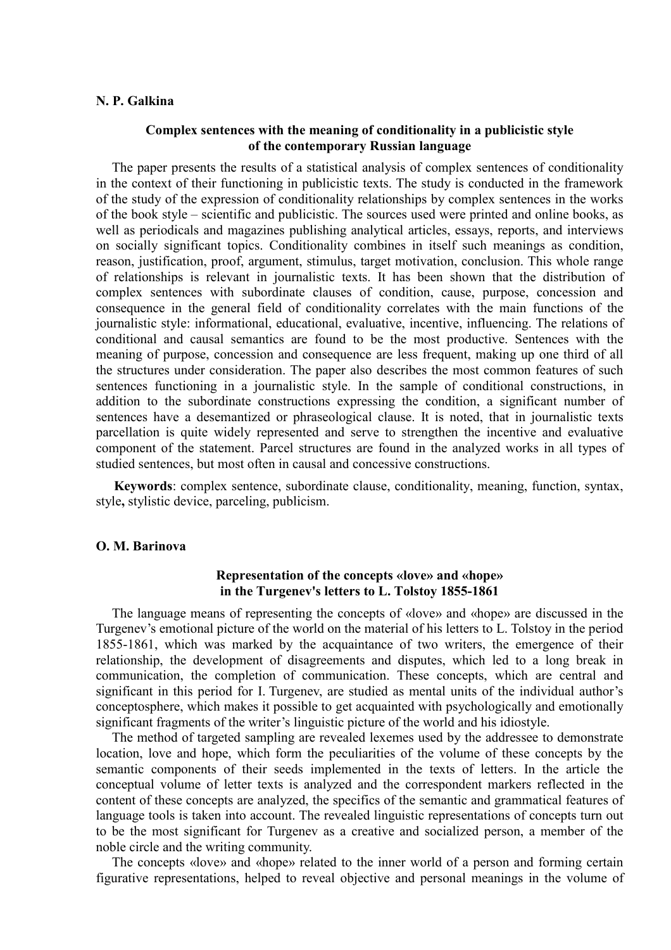### **N. P. Galkina**

# **Complex sentences with the meaning of conditionality in a publicistic style of the contemporary Russian language**

The paper presents the results of a statistical analysis of complex sentences of conditionality in the context of their functioning in publicistic texts. The study is conducted in the framework of the study of the expression of conditionality relationships by complex sentences in the works of the book style – scientific and publicistic. The sources used were printed and online books, as well as periodicals and magazines publishing analytical articles, essays, reports, and interviews on socially significant topics. Conditionality combines in itself such meanings as condition, reason, justification, proof, argument, stimulus, target motivation, conclusion. This whole range of relationships is relevant in journalistic texts. It has been shown that the distribution of complex sentences with subordinate clauses of condition, cause, purpose, concession and consequence in the general field of conditionality correlates with the main functions of the journalistic style: informational, educational, evaluative, incentive, influencing. The relations of conditional and causal semantics are found to be the most productive. Sentences with the meaning of purpose, concession and consequence are less frequent, making up one third of all the structures under consideration. The paper also describes the most common features of such sentences functioning in a journalistic style. In the sample of conditional constructions, in addition to the subordinate constructions expressing the condition, a significant number of sentences have a desemantized or phraseological clause. It is noted, that in journalistic texts parcellation is quite widely represented and serve to strengthen the incentive and evaluative component of the statement. Parcel structures are found in the analyzed works in all types of studied sentences, but most often in causal and concessive constructions.

**Keywords**: complex sentence, subordinate clause, conditionality, meaning, function, syntax, style**,** stylistic device, parceling, publicism.

### **O. M. Barinova**

# **Representation of the concepts «love» and «hope» in the Turgenev's letters to L. Tolstoy 1855-1861**

The language means of representing the concepts of «love» and «hope» are discussed in the Turgenev's emotional picture of the world on the material of his letters to L. Tolstoy in the period 1855-1861, which was marked by the acquaintance of two writers, the emergence of their relationship, the development of disagreements and disputes, which led to a long break in communication, the completion of communication. These concepts, which are central and significant in this period for I. Turgenev, are studied as mental units of the individual author's conceptosphere, which makes it possible to get acquainted with psychologically and emotionally significant fragments of the writer's linguistic picture of the world and his idiostyle.

The method of targeted sampling are revealed lexemes used by the addressee to demonstrate location, love and hope, which form the peculiarities of the volume of these concepts by the semantic components of their seeds implemented in the texts of letters. In the article the conceptual volume of letter texts is analyzed and the correspondent markers reflected in the content of these concepts are analyzed, the specifics of the semantic and grammatical features of language tools is taken into account. The revealed linguistic representations of concepts turn out to be the most significant for Turgenev as a creative and socialized person, a member of the noble circle and the writing community.

The concepts «love» and «hope» related to the inner world of a person and forming certain figurative representations, helped to reveal objective and personal meanings in the volume of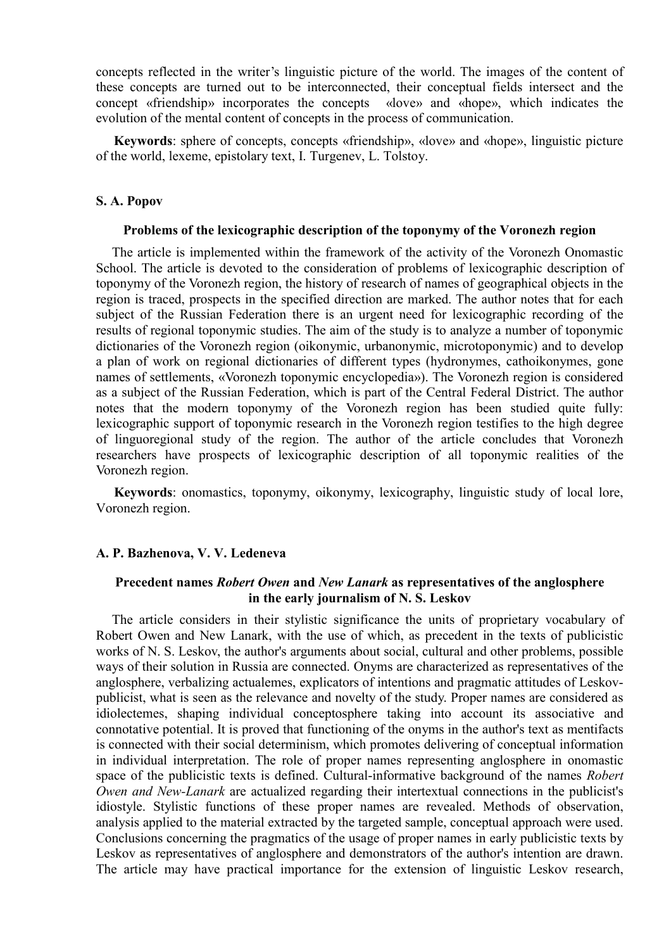concepts reflected in the writer's linguistic picture of the world. The images of the content of these concepts are turned out to be interconnected, their conceptual fields intersect and the concept «friendship» incorporates the concepts «love» and «hope», which indicates the evolution of the mental content of concepts in the process of communication.

**Keywords**: sphere of concepts, concepts «friendship», «love» and «hope», linguistic picture of the world, lexeme, epistolary text, I. Turgenev, L. Tolstoy.

# **S. A. Popov**

### **Problems of the lexicographic description of the toponymy of the Voronezh region**

The article is implemented within the framework of the activity of the Voronezh Onomastic School. The article is devoted to the consideration of problems of lexicographic description of toponymy of the Voronezh region, the history of research of names of geographical objects in the region is traced, prospects in the specified direction are marked. The author notes that for each subject of the Russian Federation there is an urgent need for lexicographic recording of the results of regional toponymic studies. The aim of the study is to analyze a number of toponymic dictionaries of the Voronezh region (oikonymic, urbanonymic, microtoponymic) and to develop a plan of work on regional dictionaries of different types (hydronymes, cathoikonymes, gone names of settlements, «Voronezh toponymic encyclopedia»). The Voronezh region is considered as a subject of the Russian Federation, which is part of the Central Federal District. The author notes that the modern toponymy of the Voronezh region has been studied quite fully: lexicographic support of toponymic research in the Voronezh region testifies to the high degree of linguoregional study of the region. The author of the article concludes that Voronezh researchers have prospects of lexicographic description of all toponymic realities of the Voronezh region.

**Keywords**: onomastics, toponymy, oikonymy, lexicography, linguistic study of local lore, Voronezh region.

# **A. P. Bazhenova, V. V. Ledeneva**

# **Precedent names** *Robert Owen* **and** *New Lanark* **as representatives of the anglosphere in the early journalism of N. S. Leskov**

The article considers in their stylistic significance the units of proprietary vocabulary of Robert Owen and New Lanark, with the use of which, as precedent in the texts of publicistic works of N. S. Leskov, the author's arguments about social, cultural and other problems, possible ways of their solution in Russia are connected. Onyms are characterized as representatives of the anglosphere, verbalizing actualemes, explicators of intentions and pragmatic attitudes of Leskovpublicist, what is seen as the relevance and novelty of the study. Proper names are considered as idiolectemes, shaping individual conceptosphere taking into account its associative and connotative potential. It is proved that functioning of the onyms in the author's text as mentifacts is connected with their social determinism, which promotes delivering of conceptual information in individual interpretation. The role of proper names representing anglosphere in onomastic space of the publicistic texts is defined. Cultural-informative background of the names *Robert Owen and New-Lanark* are actualized regarding their intertextual connections in the publicist's idiostyle. Stylistic functions of these proper names are revealed. Methods of observation, analysis applied to the material extracted by the targeted sample, conceptual approach were used. Conclusions concerning the pragmatics of the usage of proper names in early publicistic texts by Leskov as representatives of anglosphere and demonstrators of the author's intention are drawn. The article may have practical importance for the extension of linguistic Leskov research,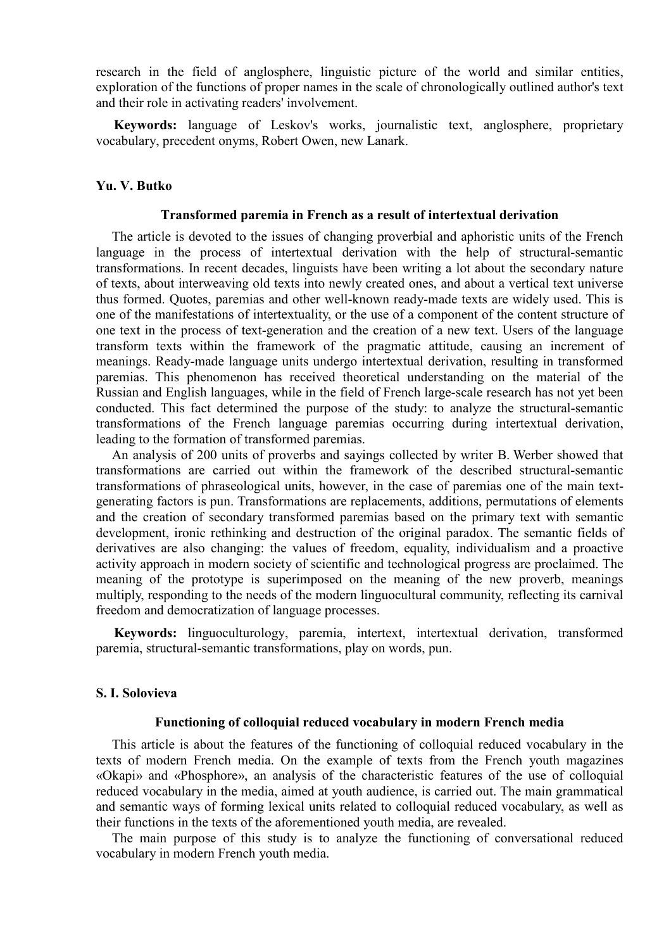research in the field of anglosphere, linguistic picture of the world and similar entities, exploration of the functions of proper names in the scale of chronologically outlined author's text and their role in activating readers' involvement.

**Keywords:** language of Leskov's works, journalistic text, anglosphere, proprietary vocabulary, precedent onyms, Robert Owen, new Lanark.

## **Yu. V. Butko**

#### **Transformed paremia in French as a result of intertextual derivation**

The article is devoted to the issues of changing proverbial and aphoristic units of the French language in the process of intertextual derivation with the help of structural-semantic transformations. In recent decades, linguists have been writing a lot about the secondary nature of texts, about interweaving old texts into newly created ones, and about a vertical text universe thus formed. Quotes, paremias and other well-known ready-made texts are widely used. This is one of the manifestations of intertextuality, or the use of a component of the content structure of one text in the process of text-generation and the creation of a new text. Users of the language transform texts within the framework of the pragmatic attitude, causing an increment of meanings. Ready-made language units undergo intertextual derivation, resulting in transformed paremias. This phenomenon has received theoretical understanding on the material of the Russian and English languages, while in the field of French large-scale research has not yet been conducted. This fact determined the purpose of the study: to analyze the structural-semantic transformations of the French language paremias occurring during intertextual derivation, leading to the formation of transformed paremias.

An analysis of 200 units of proverbs and sayings collected by writer B. Werber showed that transformations are carried out within the framework of the described structural-semantic transformations of phraseological units, however, in the case of paremias one of the main textgenerating factors is pun. Transformations are replacements, additions, permutations of elements and the creation of secondary transformed paremias based on the primary text with semantic development, ironic rethinking and destruction of the original paradox. The semantic fields of derivatives are also changing: the values of freedom, equality, individualism and a proactive activity approach in modern society of scientific and technological progress are proclaimed. The meaning of the prototype is superimposed on the meaning of the new proverb, meanings multiply, responding to the needs of the modern linguocultural community, reflecting its carnival freedom and democratization of language processes.

**Keywords:** linguoculturology, paremia, intertext, intertextual derivation, transformed paremia, structural-semantic transformations, play on words, pun.

## **S. I. Solovieva**

## **Functioning of colloquial reduced vocabulary in modern French media**

This article is about the features of the functioning of colloquial reduced vocabulary in the texts of modern French media. On the example of texts from the French youth magazines «Okapi» and «Phosphore», an analysis of the characteristic features of the use of colloquial reduced vocabulary in the media, aimed at youth audience, is carried out. The main grammatical and semantic ways of forming lexical units related to colloquial reduced vocabulary, as well as their functions in the texts of the aforementioned youth media, are revealed.

The main purpose of this study is to analyze the functioning of conversational reduced vocabulary in modern French youth media.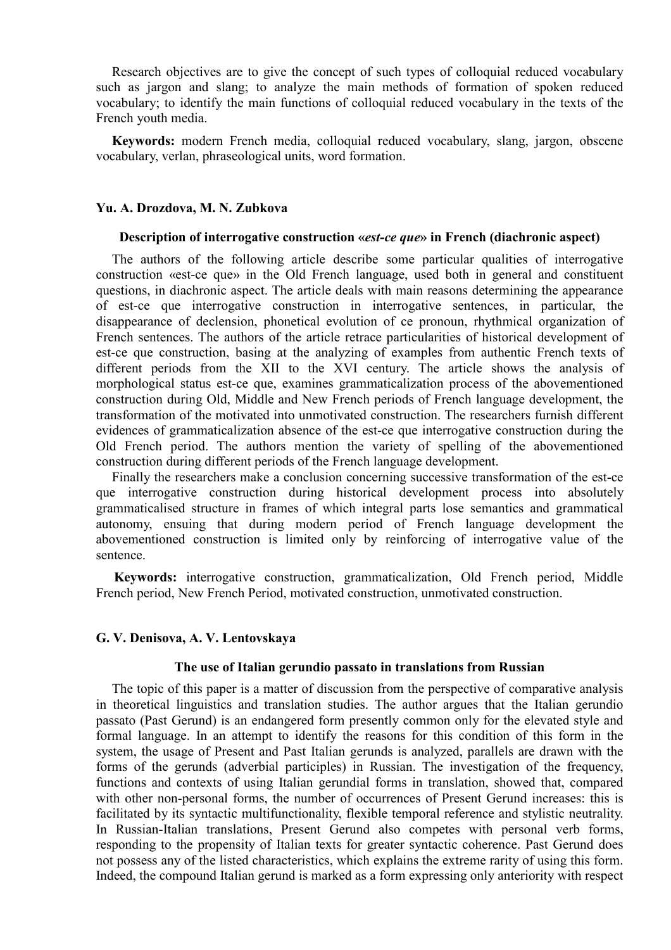Research objectives are to give the concept of such types of colloquial reduced vocabulary such as jargon and slang; to analyze the main methods of formation of spoken reduced vocabulary; to identify the main functions of colloquial reduced vocabulary in the texts of the French youth media.

**Keywords:** modern French media, colloquial reduced vocabulary, slang, jargon, obscene vocabulary, verlan, phraseological units, word formation.

## **Yu. A. Drozdova, M. N. Zubkova**

#### **Description of interrogative construction «***est-ce que***» in French (diachronic aspect)**

The authors of the following article describe some particular qualities of interrogative construction «est-ce que» in the Old French language, used both in general and constituent questions, in diachronic aspect. The article deals with main reasons determining the appearance of еst-ce que interrogative construction in interrogative sentences, in particular, the disappearance of declension, phonetical evolution of ce pronoun, rhythmical organization of French sentences. The authors of the article retrace particularities of historical development of еst-ce que construction, basing at the analyzing of examples from authentic French texts of different periods from the XII to the XVI century. The article shows the analysis of morphological status est-ce que, examines grammaticalization process of the abovementioned construction during Old, Middle and New French periods of French language development, the transformation of the motivated into unmotivated construction. The researchers furnish different evidences of grammaticalization absence of the еst-ce que interrogative construction during the Old French period. The authors mention the variety of spelling of the abovementioned construction during different periods of the French language development.

Finally the researchers make a conclusion concerning successive transformation of the еst-ce que interrogative construction during historical development process into absolutely grammaticalised structure in frames of which integral parts lose semantics and grammatical autonomy, ensuing that during modern period of French language development the abovementioned construction is limited only by reinforcing of interrogative value of the sentence.

**Keywords:** interrogative construction, grammaticalization, Old French period, Middle French period, New French Period, motivated construction, unmotivated construction.

## **G. V. Denisova, A. V. Lentovskaya**

## **The use of Italian gerundio passato in translations from Russian**

The topic of this paper is a matter of discussion from the perspective of comparative analysis in theoretical linguistics and translation studies. The author argues that the Italian gerundio passato (Past Gerund) is an endangered form presently common only for the elevated style and formal language. In an attempt to identify the reasons for this condition of this form in the system, the usage of Present and Past Italian gerunds is analyzed, parallels are drawn with the forms of the gerunds (adverbial participles) in Russian. The investigation of the frequency, functions and contexts of using Italian gerundial forms in translation, showed that, compared with other non-personal forms, the number of occurrences of Present Gerund increases: this is facilitated by its syntactic multifunctionality, flexible temporal reference and stylistic neutrality. In Russian-Italian translations, Present Gerund also competes with personal verb forms, responding to the propensity of Italian texts for greater syntactic coherence. Past Gerund does not possess any of the listed characteristics, which explains the extreme rarity of using this form. Indeed, the compound Italian gerund is marked as a form expressing only anteriority with respect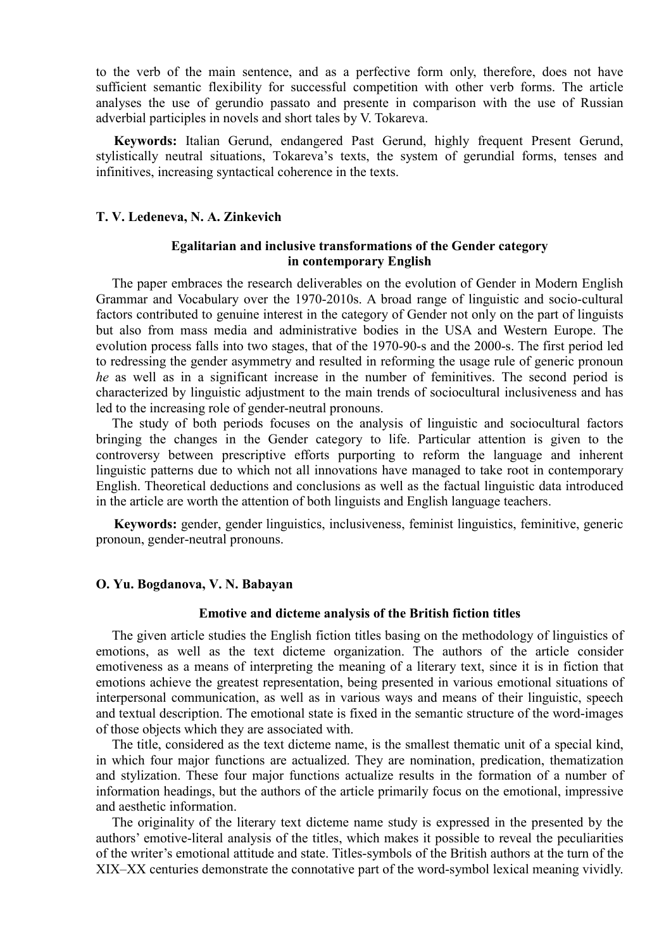to the verb of the main sentence, and as a perfective form only, therefore, does not have sufficient semantic flexibility for successful competition with other verb forms. The article analyses the use of gerundio passato and presente in comparison with the use of Russian adverbial participles in novels and short tales by V. Tokareva.

**Keywords:** Italian Gerund, endangered Past Gerund, highly frequent Present Gerund, stylistically neutral situations, Tokareva's texts, the system of gerundial forms, tenses and infinitives, increasing syntactical coherence in the texts.

## **T. V. Ledeneva, N. A. Zinkevich**

# **Egalitarian and inclusive transformations of the Gender category in contemporary English**

The paper embraces the research deliverables on the evolution of Gender in Modern English Grammar and Vocabulary over the 1970-2010s. A broad range of linguistic and socio-cultural factors contributed to genuine interest in the category of Gender not only on the part of linguists but also from mass media and administrative bodies in the USA and Western Europe. The evolution process falls into two stages, that of the 1970-90-s and the 2000-s. The first period led to redressing the gender asymmetry and resulted in reforming the usage rule of generic pronoun *he* as well as in a significant increase in the number of feminitives. The second period is characterized by linguistic adjustment to the main trends of sociocultural inclusiveness and has led to the increasing role of gender-neutral pronouns.

The study of both periods focuses on the analysis of linguistic and sociocultural factors bringing the changes in the Gender category to life. Particular attention is given to the controversy between prescriptive efforts purporting to reform the language and inherent linguistic patterns due to which not all innovations have managed to take root in contemporary English. Theoretical deductions and conclusions as well as the factual linguistic data introduced in the article are worth the attention of both linguists and English language teachers.

**Keywords:** gender, gender linguistics, inclusiveness, feminist linguistics, feminitive, generic pronoun, gender-neutral pronouns.

#### **O. Yu. Bogdanova, V. N. Babayan**

#### **Emotive and dicteme analysis of the British fiction titles**

The given article studies the English fiction titles basing on the methodology of linguistics of emotions, as well as the text dicteme organization. The authors of the article consider emotiveness as a means of interpreting the meaning of a literary text, since it is in fiction that emotions achieve the greatest representation, being presented in various emotional situations of interpersonal communication, as well as in various ways and means of their linguistic, speech and textual description. The emotional state is fixed in the semantic structure of the word-images of those objects which they are associated with.

The title, considered as the text dicteme name, is the smallest thematic unit of a special kind, in which four major functions are actualized. They are nomination, predication, thematization and stylization. These four major functions actualize results in the formation of a number of information headings, but the authors of the article primarily focus on the emotional, impressive and aesthetic information.

The originality of the literary text dicteme name study is expressed in the presented by the authors' emotive-literal analysis of the titles, which makes it possible to reveal the peculiarities of the writer's emotional attitude and state. Titles-symbols of the British authors at the turn of the XIX–XX centuries demonstrate the connotative part of the word-symbol lexical meaning vividly.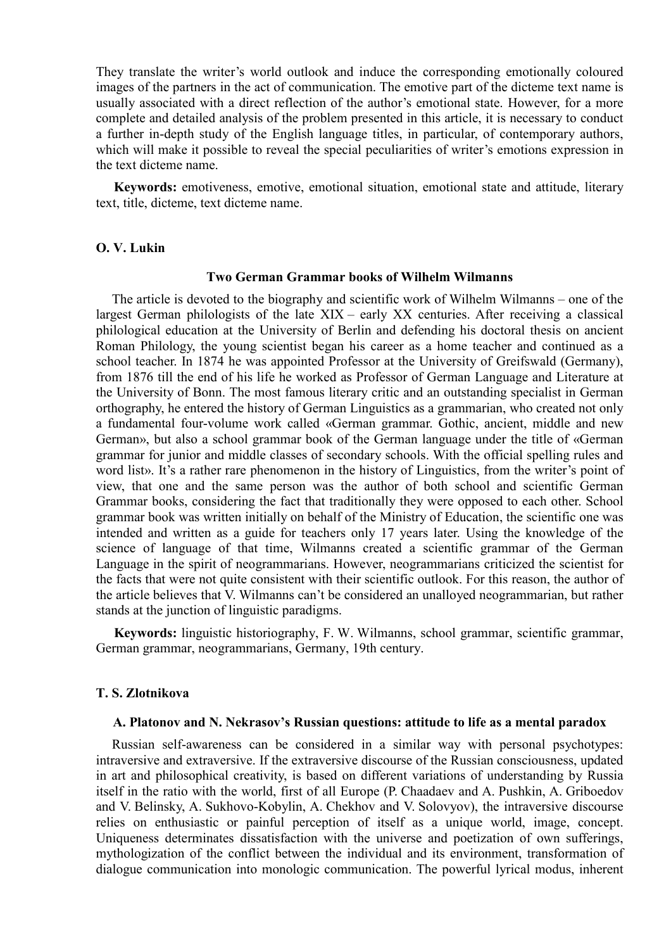They translate the writer's world outlook and induce the corresponding emotionally coloured images of the partners in the act of communication. The emotive part of the dicteme text name is usually associated with a direct reflection of the author's emotional state. However, for a more complete and detailed analysis of the problem presented in this article, it is necessary to conduct a further in-depth study of the English language titles, in particular, of contemporary authors, which will make it possible to reveal the special peculiarities of writer's emotions expression in the text dicteme name.

**Keywords:** emotiveness, emotive, emotional situation, emotional state and attitude, literary text, title, dicteme, text dicteme name.

## **O. V. Lukin**

#### **Two German Grammar books of Wilhelm Wilmanns**

The article is devoted to the biography and scientific work of Wilhelm Wilmanns – one of the largest German philologists of the late XIX – early XX centuries. After receiving a classical philological education at the University of Berlin and defending his doctoral thesis on ancient Roman Philology, the young scientist began his career as a home teacher and continued as a school teacher. In 1874 he was appointed Professor at the University of Greifswald (Germany), from 1876 till the end of his life he worked as Professor of German Language and Literature at the University of Bonn. The most famous literary critic and an outstanding specialist in German orthography, he entered the history of German Linguistics as a grammarian, who created not only a fundamental four-volume work called «German grammar. Gothic, ancient, middle and new German», but also a school grammar book of the German language under the title of «German grammar for junior and middle classes of secondary schools. With the official spelling rules and word list». It's a rather rare phenomenon in the history of Linguistics, from the writer's point of view, that one and the same person was the author of both school and scientific German Grammar books, considering the fact that traditionally they were opposed to each other. School grammar book was written initially on behalf of the Ministry of Education, the scientific one was intended and written as a guide for teachers only 17 years later. Using the knowledge of the science of language of that time, Wilmanns created a scientific grammar of the German Language in the spirit of neogrammarians. However, neogrammarians criticized the scientist for the facts that were not quite consistent with their scientific outlook. For this reason, the author of the article believes that V. Wilmanns can't be considered an unalloyed neogrammarian, but rather stands at the junction of linguistic paradigms.

**Keywords:** linguistic historiography, F. W. Wilmanns, school grammar, scientific grammar, German grammar, neogrammarians, Germany, 19th century.

#### **T. S. Zlotnikova**

#### **A. Platonov and N. Nekrasov's Russian questions: attitude to life as a mental paradox**

Russian self-awareness can be considered in a similar way with personal psychotypes: intraversive and extraversive. If the extraversive discourse of the Russian consciousness, updated in art and philosophical creativity, is based on different variations of understanding by Russia itself in the ratio with the world, first of all Europe (P. Chaadaev and A. Pushkin, A. Griboedov and V. Belinsky, A. Sukhovo-Kobylin, A. Chekhov and V. Solovyov), the intraversive discourse relies on enthusiastic or painful perception of itself as a unique world, image, concept. Uniqueness determinates dissatisfaction with the universe and poetization of own sufferings, mythologization of the conflict between the individual and its environment, transformation of dialogue communication into monologic communication. The powerful lyrical modus, inherent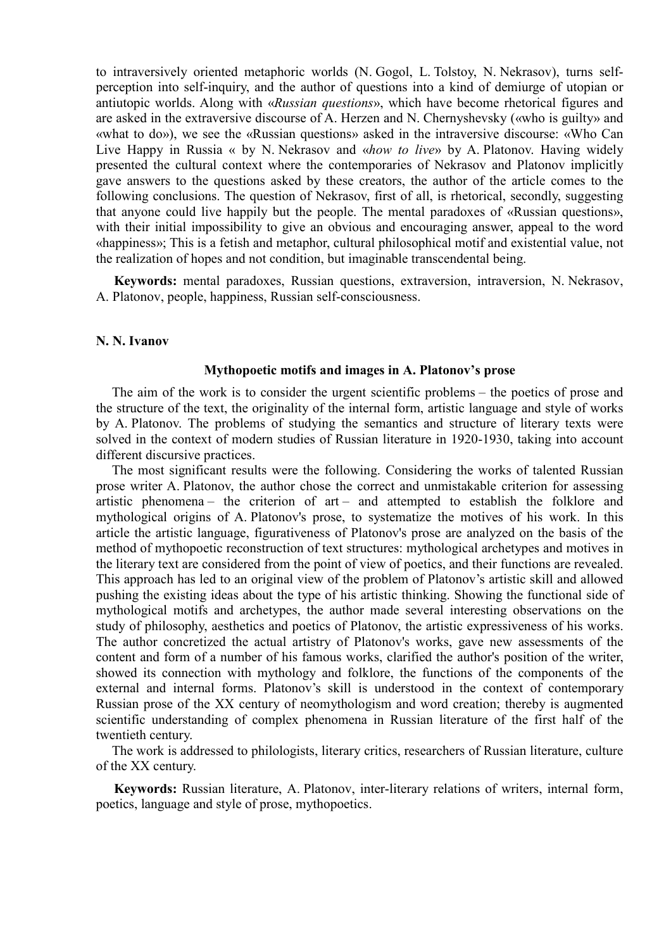to intraversively oriented metaphoric worlds (N. Gogol, L. Tolstoy, N. Nekrasov), turns selfperception into self-inquiry, and the author of questions into a kind of demiurge of utopian or antiutopic worlds. Along with «*Russian questions*», which have become rhetorical figures and are asked in the extraversive discourse of A. Herzen and N. Chernyshevsky («who is guilty» and «what to do»), we see the «Russian questions» asked in the intraversive discourse: «Who Can Live Happy in Russia « by N. Nekrasov and «*how to live*» by A. Platonov. Having widely presented the cultural context where the contemporaries of Nekrasov and Platonov implicitly gave answers to the questions asked by these creators, the author of the article comes to the following conclusions. The question of Nekrasov, first of all, is rhetorical, secondly, suggesting that anyone could live happily but the people. The mental paradoxes of «Russian questions», with their initial impossibility to give an obvious and encouraging answer, appeal to the word «happiness»; This is a fetish and metaphor, cultural philosophical motif and existential value, not the realization of hopes and not condition, but imaginable transcendental being.

**Keywords:** mental paradoxes, Russian questions, extraversion, intraversion, N. Nekrasov, A. Platonov, people, happiness, Russian self-consciousness.

### **N. N. Ivanov**

#### **Mythopoetic motifs and images in A. Platonov's prose**

The aim of the work is to consider the urgent scientific problems – the poetics of prose and the structure of the text, the originality of the internal form, artistic language and style of works by A. Platonov. The problems of studying the semantics and structure of literary texts were solved in the context of modern studies of Russian literature in 1920-1930, taking into account different discursive practices.

The most significant results were the following. Considering the works of talented Russian prose writer A. Platonov, the author chose the correct and unmistakable criterion for assessing artistic phenomena – the criterion of art – and attempted to establish the folklore and mythological origins of A. Platonov's prose, to systematize the motives of his work. In this article the artistic language, figurativeness of Platonov's prose are analyzed on the basis of the method of mythopoetic reconstruction of text structures: mythological archetypes and motives in the literary text are considered from the point of view of poetics, and their functions are revealed. This approach has led to an original view of the problem of Platonov's artistic skill and allowed pushing the existing ideas about the type of his artistic thinking. Showing the functional side of mythological motifs and archetypes, the author made several interesting observations on the study of philosophy, aesthetics and poetics of Platonov, the artistic expressiveness of his works. The author concretized the actual artistry of Platonov's works, gave new assessments of the content and form of a number of his famous works, clarified the author's position of the writer, showed its connection with mythology and folklore, the functions of the components of the external and internal forms. Platonov's skill is understood in the context of contemporary Russian prose of the XX century of neomythologism and word creation; thereby is augmented scientific understanding of complex phenomena in Russian literature of the first half of the twentieth century.

The work is addressed to philologists, literary critics, researchers of Russian literature, culture of the XX century.

**Keywords:** Russian literature, A. Platonov, inter-literary relations of writers, internal form, poetics, language and style of prose, mythopoetics.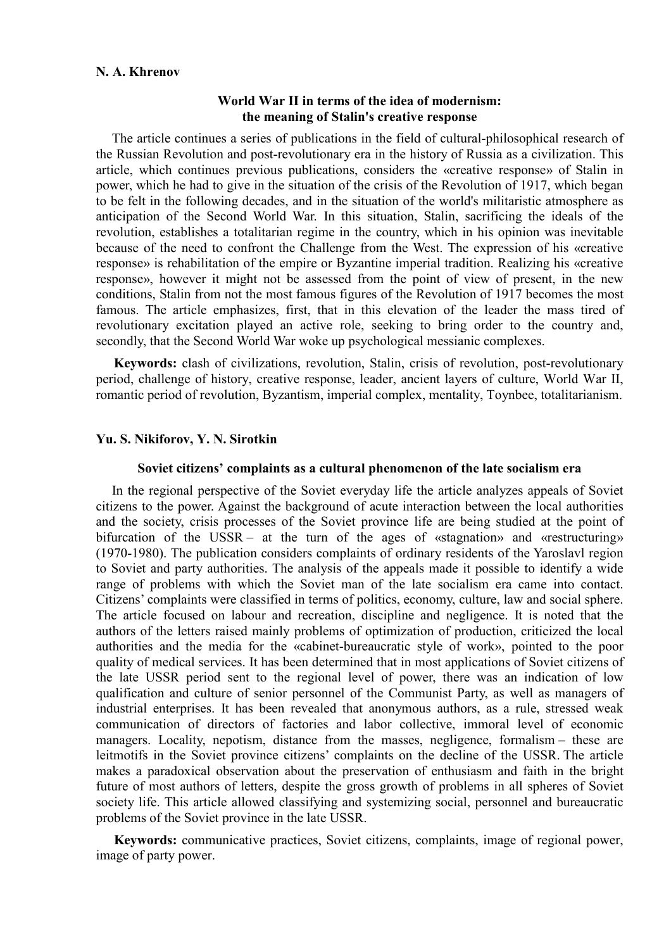## **N. A. Khrenov**

# **World War II in terms of the idea of modernism: the meaning of Stalin's creative response**

The article continues a series of publications in the field of cultural-philosophical research of the Russian Revolution and post-revolutionary era in the history of Russia as a civilization. This article, which continues previous publications, considers the «creative response» of Stalin in power, which he had to give in the situation of the crisis of the Revolution of 1917, which began to be felt in the following decades, and in the situation of the world's militaristic atmosphere as anticipation of the Second World War. In this situation, Stalin, sacrificing the ideals of the revolution, establishes a totalitarian regime in the country, which in his opinion was inevitable because of the need to confront the Challenge from the West. The expression of his «creative response» is rehabilitation of the empire or Byzantine imperial tradition. Realizing his «creative response», however it might not be assessed from the point of view of present, in the new conditions, Stalin from not the most famous figures of the Revolution of 1917 becomes the most famous. The article emphasizes, first, that in this elevation of the leader the mass tired of revolutionary excitation played an active role, seeking to bring order to the country and, secondly, that the Second World War woke up psychological messianic complexes.

**Keywords:** clash of civilizations, revolution, Stalin, crisis of revolution, post-revolutionary period, challenge of history, creative response, leader, ancient layers of culture, World War II, romantic period of revolution, Byzantism, imperial complex, mentality, Toynbee, totalitarianism.

# **Yu. S. Nikiforov, Y. N. Sirotkin**

### **Soviet citizens' complaints as a cultural phenomenon of the late socialism era**

In the regional perspective of the Soviet everyday life the article analyzes appeals of Soviet citizens to the power. Against the background of acute interaction between the local authorities and the society, crisis processes of the Soviet province life are being studied at the point of bifurcation of the USSR – at the turn of the ages of «stagnation» and «restructuring» (1970-1980). The publication considers complaints of ordinary residents of the Yaroslavl region to Soviet and party authorities. The analysis of the appeals made it possible to identify a wide range of problems with which the Soviet man of the late socialism era came into contact. Citizens' complaints were classified in terms of politics, economy, culture, law and social sphere. The article focused on labour and recreation, discipline and negligence. It is noted that the authors of the letters raised mainly problems of optimization of production, criticized the local authorities and the media for the «cabinet-bureaucratic style of work», pointed to the poor quality of medical services. It has been determined that in most applications of Soviet citizens of the late USSR period sent to the regional level of power, there was an indication of low qualification and culture of senior personnel of the Communist Party, as well as managers of industrial enterprises. It has been revealed that anonymous authors, as a rule, stressed weak communication of directors of factories and labor collective, immoral level of economic managers. Locality, nepotism, distance from the masses, negligence, formalism – these are leitmotifs in the Soviet province citizens' complaints on the decline of the USSR. The article makes a paradoxical observation about the preservation of enthusiasm and faith in the bright future of most authors of letters, despite the gross growth of problems in all spheres of Soviet society life. This article allowed classifying and systemizing social, personnel and bureaucratic problems of the Soviet province in the late USSR.

**Keywords:** communicative practices, Soviet citizens, complaints, image of regional power, image of party power.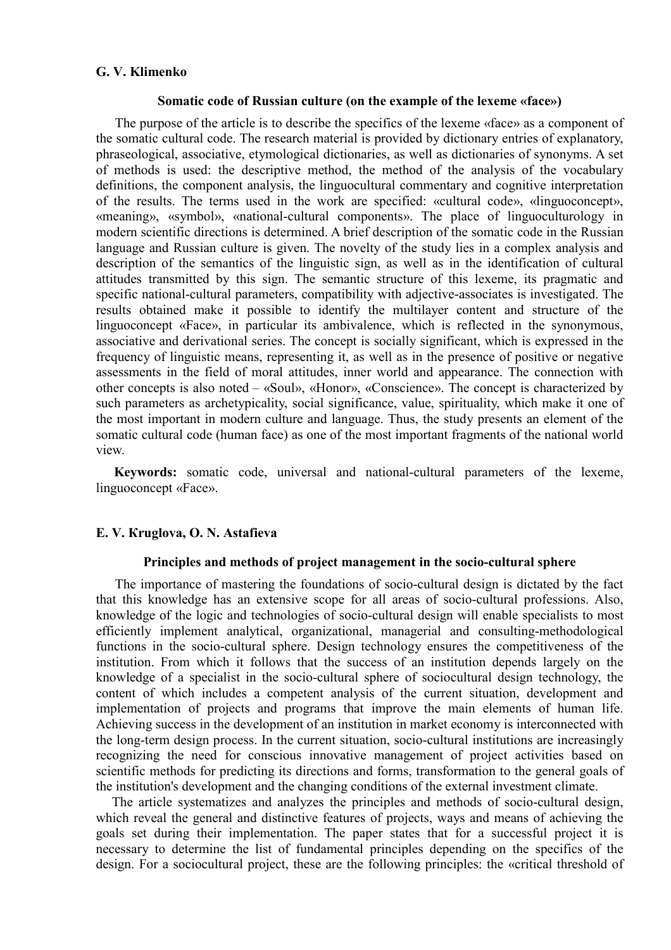# **G. V. Klimenko**

### **Somatic code of Russian culture (on the example of the lexeme «face»)**

 The purpose of the article is to describe the specifics of the lexeme «face» as a component of the somatic cultural code. The research material is provided by dictionary entries of explanatory, phraseological, associative, etymological dictionaries, as well as dictionaries of synonyms. A set of methods is used: the descriptive method, the method of the analysis of the vocabulary definitions, the component analysis, the linguocultural commentary and cognitive interpretation of the results. The terms used in the work are specified: «cultural code», «linguoconcept», «meaning», «symbol», «national-cultural components». The place of linguoculturology in modern scientific directions is determined. A brief description of the somatic code in the Russian language and Russian culture is given. The novelty of the study lies in a complex analysis and description of the semantics of the linguistic sign, as well as in the identification of cultural attitudes transmitted by this sign. The semantic structure of this lexeme, its pragmatic and specific national-cultural parameters, compatibility with adjective-associates is investigated. The results obtained make it possible to identify the multilayer content and structure of the linguoconcept «Face», in particular its ambivalence, which is reflected in the synonymous, associative and derivational series. The concept is socially significant, which is expressed in the frequency of linguistic means, representing it, as well as in the presence of positive or negative assessments in the field of moral attitudes, inner world and appearance. The connection with other concepts is also noted – «Soul», «Honor», «Conscience». The concept is characterized by such parameters as archetypicality, social significance, value, spirituality, which make it one of the most important in modern culture and language. Thus, the study presents an element of the somatic cultural code (human face) as one of the most important fragments of the national world view.

**Keywords:** somatic code, universal and national-cultural parameters of the lexeme, linguoconcept «Face».

## **E. V. Кruglova, O. N. Astafieva**

## **Principles and methods of project management in the socio-cultural sphere**

 The importance of mastering the foundations of socio-cultural design is dictated by the fact that this knowledge has an extensive scope for all areas of socio-cultural professions. Also, knowledge of the logic and technologies of socio-cultural design will enable specialists to most efficiently implement analytical, organizational, managerial and consulting-methodological functions in the socio-cultural sphere. Design technology ensures the competitiveness of the institution. From which it follows that the success of an institution depends largely on the knowledge of a specialist in the socio-cultural sphere of sociocultural design technology, the content of which includes a competent analysis of the current situation, development and implementation of projects and programs that improve the main elements of human life. Achieving success in the development of an institution in market economy is interconnected with the long-term design process. In the current situation, socio-cultural institutions are increasingly recognizing the need for conscious innovative management of project activities based on scientific methods for predicting its directions and forms, transformation to the general goals of the institution's development and the changing conditions of the external investment climate.

The article systematizes and analyzes the principles and methods of socio-cultural design, which reveal the general and distinctive features of projects, ways and means of achieving the goals set during their implementation. The paper states that for a successful project it is necessary to determine the list of fundamental principles depending on the specifics of the design. For a sociocultural project, these are the following principles: the «critical threshold of